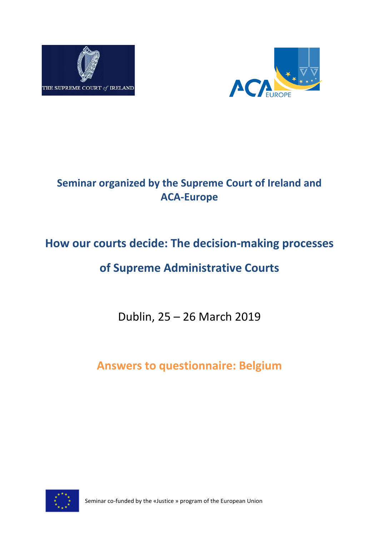



# **Seminar organized by the Supreme Court of Ireland and ACA-Europe**

# **How our courts decide: The decision-making processes**

# **of Supreme Administrative Courts**

Dublin, 25 – 26 March 2019

**Answers to questionnaire: Belgium**



Seminar co-funded by the «Justice » program of the European Union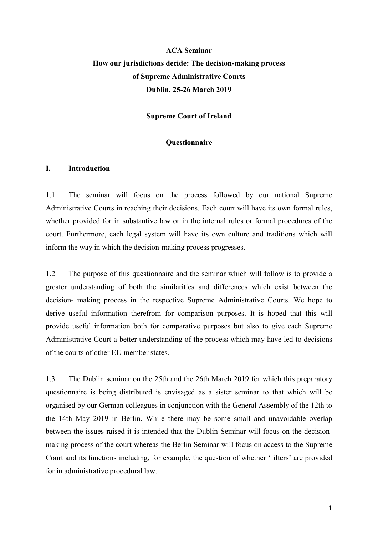# **ACA Seminar How our jurisdictions decide: The decision-making process of Supreme Administrative Courts Dublin, 25-26 March 2019**

**Supreme Court of Ireland**

#### **Questionnaire**

#### **I. Introduction**

1.1 The seminar will focus on the process followed by our national Supreme Administrative Courts in reaching their decisions. Each court will have its own formal rules, whether provided for in substantive law or in the internal rules or formal procedures of the court. Furthermore, each legal system will have its own culture and traditions which will inform the way in which the decision-making process progresses.

1.2 The purpose of this questionnaire and the seminar which will follow is to provide a greater understanding of both the similarities and differences which exist between the decision- making process in the respective Supreme Administrative Courts. We hope to derive useful information therefrom for comparison purposes. It is hoped that this will provide useful information both for comparative purposes but also to give each Supreme Administrative Court a better understanding of the process which may have led to decisions of the courts of other EU member states.

1.3 The Dublin seminar on the 25th and the 26th March 2019 for which this preparatory questionnaire is being distributed is envisaged as a sister seminar to that which will be organised by our German colleagues in conjunction with the General Assembly of the 12th to the 14th May 2019 in Berlin. While there may be some small and unavoidable overlap between the issues raised it is intended that the Dublin Seminar will focus on the decisionmaking process of the court whereas the Berlin Seminar will focus on access to the Supreme Court and its functions including, for example, the question of whether 'filters' are provided for in administrative procedural law.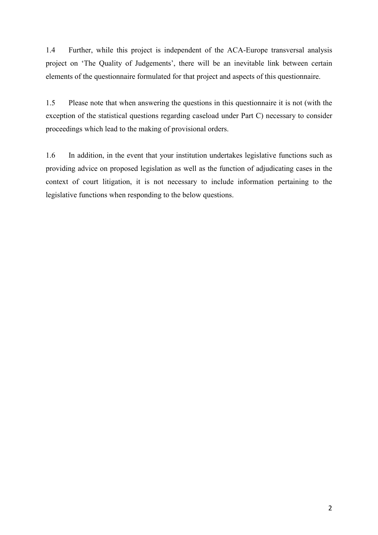1.4 Further, while this project is independent of the ACA-Europe transversal analysis project on 'The Quality of Judgements', there will be an inevitable link between certain elements of the questionnaire formulated for that project and aspects of this questionnaire.

1.5 Please note that when answering the questions in this questionnaire it is not (with the exception of the statistical questions regarding caseload under Part C) necessary to consider proceedings which lead to the making of provisional orders.

1.6 In addition, in the event that your institution undertakes legislative functions such as providing advice on proposed legislation as well as the function of adjudicating cases in the context of court litigation, it is not necessary to include information pertaining to the legislative functions when responding to the below questions.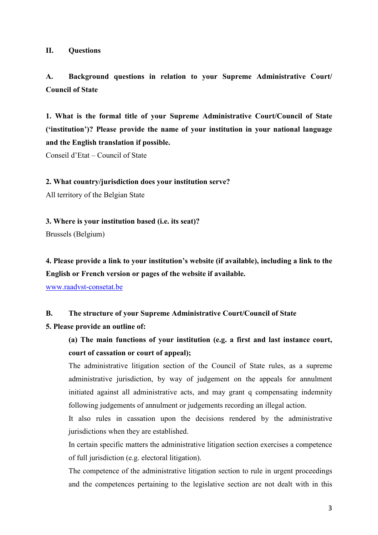#### **II. Questions**

### **A. Background questions in relation to your Supreme Administrative Court/ Council of State**

**1. What is the formal title of your Supreme Administrative Court/Council of State ('institution')? Please provide the name of your institution in your national language and the English translation if possible.** 

Conseil d'Etat – Council of State

#### **2. What country/jurisdiction does your institution serve?**

All territory of the Belgian State

**3. Where is your institution based (i.e. its seat)?** 

Brussels (Belgium)

**4. Please provide a link to your institution's website (if available), including a link to the English or French version or pages of the website if available.**

[www.raadvst-consetat.be](http://www.rradvst-consetat.be/)

#### **B. The structure of your Supreme Administrative Court/Council of State**

#### **5. Please provide an outline of:**

**(a) The main functions of your institution (e.g. a first and last instance court, court of cassation or court of appeal);** 

The administrative litigation section of the Council of State rules, as a supreme administrative jurisdiction, by way of judgement on the appeals for annulment initiated against all administrative acts, and may grant q compensating indemnity following judgements of annulment or judgements recording an illegal action.

It also rules in cassation upon the decisions rendered by the administrative jurisdictions when they are established.

In certain specific matters the administrative litigation section exercises a competence of full jurisdiction (e.g. electoral litigation).

The competence of the administrative litigation section to rule in urgent proceedings and the competences pertaining to the legislative section are not dealt with in this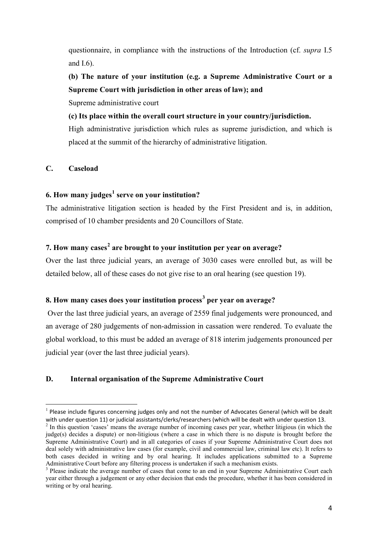questionnaire, in compliance with the instructions of the Introduction (cf. *supra* I.5 and I.6).

**(b) The nature of your institution (e.g. a Supreme Administrative Court or a Supreme Court with jurisdiction in other areas of law); and** 

Supreme administrative court

**(c) Its place within the overall court structure in your country/jurisdiction.** 

High administrative jurisdiction which rules as supreme jurisdiction, and which is placed at the summit of the hierarchy of administrative litigation.

### **C. Caseload**

 $\overline{a}$ 

### **6. How many judges[1](#page-4-0) serve on your institution?**

The administrative litigation section is headed by the First President and is, in addition, comprised of 10 chamber presidents and 20 Councillors of State.

### **7. How many cases[2](#page-4-1) are brought to your institution per year on average?**

Over the last three judicial years, an average of 3030 cases were enrolled but, as will be detailed below, all of these cases do not give rise to an oral hearing (see question 19).

### **8. How many cases does your institution process[3](#page-4-2) per year on average?**

Over the last three judicial years, an average of 2559 final judgements were pronounced, and an average of 280 judgements of non-admission in cassation were rendered. To evaluate the global workload, to this must be added an average of 818 interim judgements pronounced per judicial year (over the last three judicial years).

### **D. Internal organisation of the Supreme Administrative Court**

<span id="page-4-0"></span> $<sup>1</sup>$  Please include figures concerning judges only and not the number of Advocates General (which will be dealt</sup> with under question 11) or judicial assistants/clerks/researchers (which will be dealt with under question 13.

<span id="page-4-1"></span><sup>&</sup>lt;sup>2</sup> In this question 'cases' means the average number of incoming cases per year, whether litigious (in which the judge(s) decides a dispute) or non-litigious (where a case in which there is no dispute is brought before the Supreme Administrative Court) and in all categories of cases if your Supreme Administrative Court does not deal solely with administrative law cases (for example, civil and commercial law, criminal law etc). It refers to both cases decided in writing and by oral hearing. It includes applications submitted to a Supreme Administrative Court before any filtering process is undertaken if such a mechanism exists.<br> $3$  Please indicate the average number of cases that come to an end in your Supreme Administrative Court each

<span id="page-4-2"></span>year either through a judgement or any other decision that ends the procedure, whether it has been considered in writing or by oral hearing.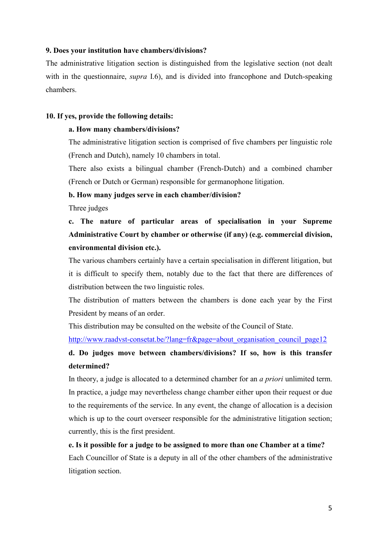#### **9. Does your institution have chambers/divisions?**

The administrative litigation section is distinguished from the legislative section (not dealt with in the questionnaire, *supra* I.6), and is divided into francophone and Dutch-speaking chambers.

#### **10. If yes, provide the following details:**

#### **a. How many chambers/divisions?**

The administrative litigation section is comprised of five chambers per linguistic role (French and Dutch), namely 10 chambers in total.

There also exists a bilingual chamber (French-Dutch) and a combined chamber (French or Dutch or German) responsible for germanophone litigation.

#### **b. How many judges serve in each chamber/division?**

Three judges

# **c. The nature of particular areas of specialisation in your Supreme Administrative Court by chamber or otherwise (if any) (e.g. commercial division, environmental division etc.).**

The various chambers certainly have a certain specialisation in different litigation, but it is difficult to specify them, notably due to the fact that there are differences of distribution between the two linguistic roles.

The distribution of matters between the chambers is done each year by the First President by means of an order.

This distribution may be consulted on the website of the Council of State.

http://www.raadvst-consetat.be/?lang=fr&page=about\_organisation\_council\_page12

### **d. Do judges move between chambers/divisions? If so, how is this transfer determined?**

In theory, a judge is allocated to a determined chamber for an *a priori* unlimited term. In practice, a judge may nevertheless change chamber either upon their request or due to the requirements of the service. In any event, the change of allocation is a decision which is up to the court overseer responsible for the administrative litigation section; currently, this is the first president.

# **e. Is it possible for a judge to be assigned to more than one Chamber at a time?**  Each Councillor of State is a deputy in all of the other chambers of the administrative litigation section.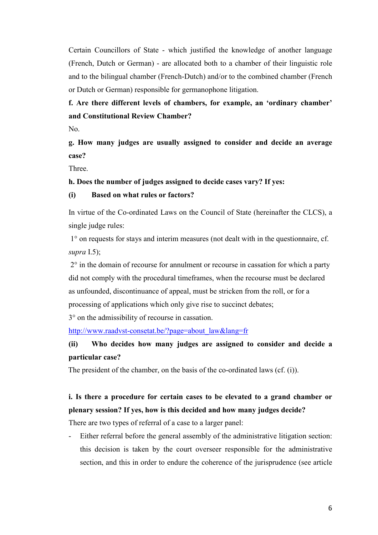Certain Councillors of State - which justified the knowledge of another language (French, Dutch or German) - are allocated both to a chamber of their linguistic role and to the bilingual chamber (French-Dutch) and/or to the combined chamber (French or Dutch or German) responsible for germanophone litigation.

# **f. Are there different levels of chambers, for example, an 'ordinary chamber' and Constitutional Review Chamber?**

No.

**g. How many judges are usually assigned to consider and decide an average case?**

Three.

#### **h. Does the number of judges assigned to decide cases vary? If yes:**

#### **(i) Based on what rules or factors?**

In virtue of the Co-ordinated Laws on the Council of State (hereinafter the CLCS), a single judge rules:

1° on requests for stays and interim measures (not dealt with in the questionnaire, cf. *supra* I.5);

2° in the domain of recourse for annulment or recourse in cassation for which a party did not comply with the procedural timeframes, when the recourse must be declared as unfounded, discontinuance of appeal, must be stricken from the roll, or for a processing of applications which only give rise to succinct debates;

3° on the admissibility of recourse in cassation.

[http://www.raadvst-consetat.be/?page=about\\_law&lang=fr](http://www.raadvst-consetat.be/?page=about_law&lang=fr)

# **(ii) Who decides how many judges are assigned to consider and decide a particular case?**

The president of the chamber, on the basis of the co-ordinated laws (cf. (i)).

# **i. Is there a procedure for certain cases to be elevated to a grand chamber or plenary session? If yes, how is this decided and how many judges decide?**

There are two types of referral of a case to a larger panel:

Either referral before the general assembly of the administrative litigation section: this decision is taken by the court overseer responsible for the administrative section, and this in order to endure the coherence of the jurisprudence (see article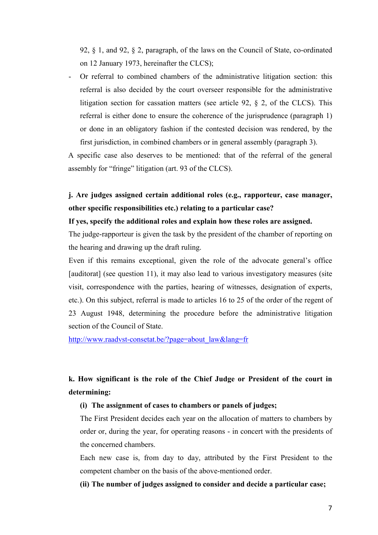92, § 1, and 92, § 2, paragraph, of the laws on the Council of State, co-ordinated on 12 January 1973, hereinafter the CLCS);

- Or referral to combined chambers of the administrative litigation section: this referral is also decided by the court overseer responsible for the administrative litigation section for cassation matters (see article 92, § 2, of the CLCS). This referral is either done to ensure the coherence of the jurisprudence (paragraph 1) or done in an obligatory fashion if the contested decision was rendered, by the first jurisdiction, in combined chambers or in general assembly (paragraph 3).

A specific case also deserves to be mentioned: that of the referral of the general assembly for "fringe" litigation (art. 93 of the CLCS).

## **j. Are judges assigned certain additional roles (e.g., rapporteur, case manager, other specific responsibilities etc.) relating to a particular case?**

#### **If yes, specify the additional roles and explain how these roles are assigned.**

The judge-rapporteur is given the task by the president of the chamber of reporting on the hearing and drawing up the draft ruling.

Even if this remains exceptional, given the role of the advocate general's office [auditorat] (see question 11), it may also lead to various investigatory measures (site visit, correspondence with the parties, hearing of witnesses, designation of experts, etc.). On this subject, referral is made to articles 16 to 25 of the order of the regent of 23 August 1948, determining the procedure before the administrative litigation section of the Council of State.

[http://www.raadvst-consetat.be/?page=about\\_law&lang=fr](http://www.raadvst-consetat.be/?page=about_law&lang=fr)

# **k. How significant is the role of the Chief Judge or President of the court in determining:**

#### **(i) The assignment of cases to chambers or panels of judges;**

The First President decides each year on the allocation of matters to chambers by order or, during the year, for operating reasons - in concert with the presidents of the concerned chambers.

Each new case is, from day to day, attributed by the First President to the competent chamber on the basis of the above-mentioned order.

**(ii) The number of judges assigned to consider and decide a particular case;**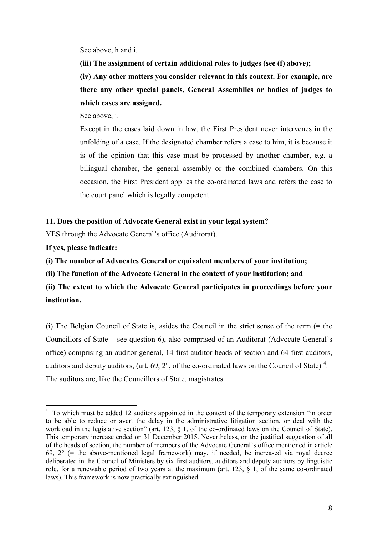See above, h and i.

**(iii) The assignment of certain additional roles to judges (see (f) above);**

**(iv) Any other matters you consider relevant in this context. For example, are there any other special panels, General Assemblies or bodies of judges to which cases are assigned.**

See above, i.

Except in the cases laid down in law, the First President never intervenes in the unfolding of a case. If the designated chamber refers a case to him, it is because it is of the opinion that this case must be processed by another chamber, e.g. a bilingual chamber, the general assembly or the combined chambers. On this occasion, the First President applies the co-ordinated laws and refers the case to the court panel which is legally competent.

#### **11. Does the position of Advocate General exist in your legal system?**

YES through the Advocate General's office (Auditorat).

**If yes, please indicate:**

**(i) The number of Advocates General or equivalent members of your institution;**

**(ii) The function of the Advocate General in the context of your institution; and**

**(ii) The extent to which the Advocate General participates in proceedings before your institution.**

 $(i)$  The Belgian Council of State is, asides the Council in the strict sense of the term  $(=$  the Councillors of State – see question 6), also comprised of an Auditorat (Advocate General's office) comprising an auditor general, 14 first auditor heads of section and 64 first auditors, auditors and deputy auditors, (art. 69,  $2^{\circ}$ , of the co-ordinated laws on the Council of State)<sup>[4](#page-8-0)</sup>. The auditors are, like the Councillors of State, magistrates.

<span id="page-8-0"></span> $\frac{1}{4}$ <sup>4</sup> To which must be added 12 auditors appointed in the context of the temporary extension "in order to be able to reduce or avert the delay in the administrative litigation section, or deal with the workload in the legislative section" (art. 123, § 1, of the co-ordinated laws on the Council of State). This temporary increase ended on 31 December 2015. Nevertheless, on the justified suggestion of all of the heads of section, the number of members of the Advocate General's office mentioned in article 69,  $2^{\circ}$  (= the above-mentioned legal framework) may, if needed, be increased via royal decree deliberated in the Council of Ministers by six first auditors, auditors and deputy auditors by linguistic role, for a renewable period of two years at the maximum (art. 123, § 1, of the same co-ordinated laws). This framework is now practically extinguished.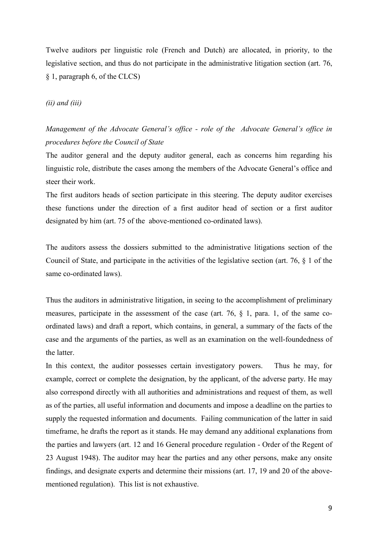Twelve auditors per linguistic role (French and Dutch) are allocated, in priority, to the legislative section, and thus do not participate in the administrative litigation section (art. 76, § 1, paragraph 6, of the CLCS)

#### *(ii) and (iii)*

# *Management of the Advocate General's office - role of the Advocate General's office in procedures before the Council of State*

The auditor general and the deputy auditor general, each as concerns him regarding his linguistic role, distribute the cases among the members of the Advocate General's office and steer their work.

The first auditors heads of section participate in this steering. The deputy auditor exercises these functions under the direction of a first auditor head of section or a first auditor designated by him (art. 75 of the above-mentioned co-ordinated laws).

The auditors assess the dossiers submitted to the administrative litigations section of the Council of State, and participate in the activities of the legislative section (art. 76, § 1 of the same co-ordinated laws).

Thus the auditors in administrative litigation, in seeing to the accomplishment of preliminary measures, participate in the assessment of the case (art. 76, § 1, para. 1, of the same coordinated laws) and draft a report, which contains, in general, a summary of the facts of the case and the arguments of the parties, as well as an examination on the well-foundedness of the latter.

In this context, the auditor possesses certain investigatory powers. Thus he may, for example, correct or complete the designation, by the applicant, of the adverse party. He may also correspond directly with all authorities and administrations and request of them, as well as of the parties, all useful information and documents and impose a deadline on the parties to supply the requested information and documents. Failing communication of the latter in said timeframe, he drafts the report as it stands. He may demand any additional explanations from the parties and lawyers (art. 12 and 16 General procedure regulation - Order of the Regent of 23 August 1948). The auditor may hear the parties and any other persons, make any onsite findings, and designate experts and determine their missions (art. 17, 19 and 20 of the abovementioned regulation). This list is not exhaustive.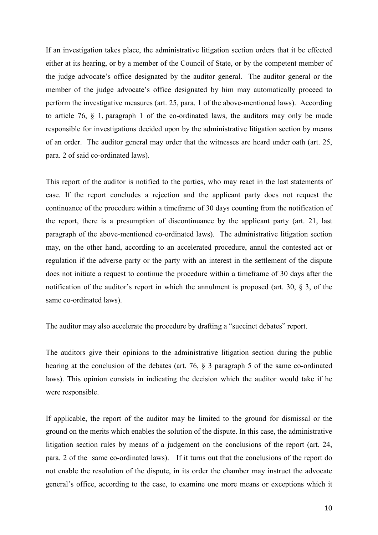If an investigation takes place, the administrative litigation section orders that it be effected either at its hearing, or by a member of the Council of State, or by the competent member of the judge advocate's office designated by the auditor general. The auditor general or the member of the judge advocate's office designated by him may automatically proceed to perform the investigative measures (art. 25, para. 1 of the above-mentioned laws). According to article 76, § 1, paragraph 1 of the co-ordinated laws, the auditors may only be made responsible for investigations decided upon by the administrative litigation section by means of an order. The auditor general may order that the witnesses are heard under oath (art. 25, para. 2 of said co-ordinated laws).

This report of the auditor is notified to the parties, who may react in the last statements of case. If the report concludes a rejection and the applicant party does not request the continuance of the procedure within a timeframe of 30 days counting from the notification of the report, there is a presumption of discontinuance by the applicant party (art. 21, last paragraph of the above-mentioned co-ordinated laws). The administrative litigation section may, on the other hand, according to an accelerated procedure, annul the contested act or regulation if the adverse party or the party with an interest in the settlement of the dispute does not initiate a request to continue the procedure within a timeframe of 30 days after the notification of the auditor's report in which the annulment is proposed (art. 30, § 3, of the same co-ordinated laws).

The auditor may also accelerate the procedure by drafting a "succinct debates" report.

The auditors give their opinions to the administrative litigation section during the public hearing at the conclusion of the debates (art. 76, § 3 paragraph 5 of the same co-ordinated laws). This opinion consists in indicating the decision which the auditor would take if he were responsible.

If applicable, the report of the auditor may be limited to the ground for dismissal or the ground on the merits which enables the solution of the dispute. In this case, the administrative litigation section rules by means of a judgement on the conclusions of the report (art. 24, para. 2 of the same co-ordinated laws). If it turns out that the conclusions of the report do not enable the resolution of the dispute, in its order the chamber may instruct the advocate general's office, according to the case, to examine one more means or exceptions which it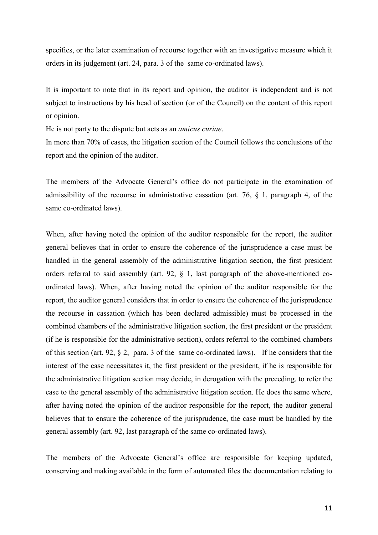specifies, or the later examination of recourse together with an investigative measure which it orders in its judgement (art. 24, para. 3 of the same co-ordinated laws).

It is important to note that in its report and opinion, the auditor is independent and is not subject to instructions by his head of section (or of the Council) on the content of this report or opinion.

He is not party to the dispute but acts as an *amicus curiae*.

In more than 70% of cases, the litigation section of the Council follows the conclusions of the report and the opinion of the auditor.

The members of the Advocate General's office do not participate in the examination of admissibility of the recourse in administrative cassation (art. 76, § 1, paragraph 4, of the same co-ordinated laws).

When, after having noted the opinion of the auditor responsible for the report, the auditor general believes that in order to ensure the coherence of the jurisprudence a case must be handled in the general assembly of the administrative litigation section, the first president orders referral to said assembly (art. 92, § 1, last paragraph of the above-mentioned coordinated laws). When, after having noted the opinion of the auditor responsible for the report, the auditor general considers that in order to ensure the coherence of the jurisprudence the recourse in cassation (which has been declared admissible) must be processed in the combined chambers of the administrative litigation section, the first president or the president (if he is responsible for the administrative section), orders referral to the combined chambers of this section (art. 92, § 2, para. 3 of the same co-ordinated laws). If he considers that the interest of the case necessitates it, the first president or the president, if he is responsible for the administrative litigation section may decide, in derogation with the preceding, to refer the case to the general assembly of the administrative litigation section. He does the same where, after having noted the opinion of the auditor responsible for the report, the auditor general believes that to ensure the coherence of the jurisprudence, the case must be handled by the general assembly (art. 92, last paragraph of the same co-ordinated laws).

The members of the Advocate General's office are responsible for keeping updated, conserving and making available in the form of automated files the documentation relating to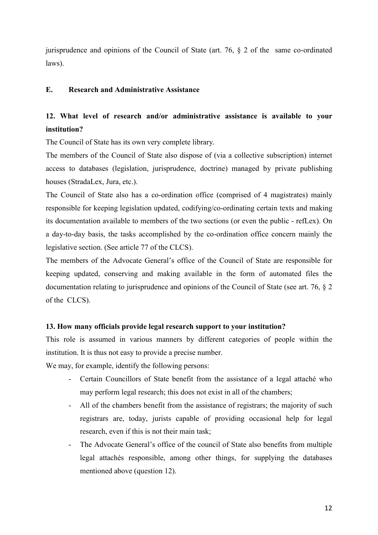jurisprudence and opinions of the Council of State (art. 76, § 2 of the same co-ordinated laws).

#### **E. Research and Administrative Assistance**

# **12. What level of research and/or administrative assistance is available to your institution?**

The Council of State has its own very complete library.

The members of the Council of State also dispose of (via a collective subscription) internet access to databases (legislation, jurisprudence, doctrine) managed by private publishing houses (StradaLex, Jura, etc.).

The Council of State also has a co-ordination office (comprised of 4 magistrates) mainly responsible for keeping legislation updated, codifying/co-ordinating certain texts and making its documentation available to members of the two sections (or even the public - refLex). On a day-to-day basis, the tasks accomplished by the co-ordination office concern mainly the legislative section. (See article 77 of the CLCS).

The members of the Advocate General's office of the Council of State are responsible for keeping updated, conserving and making available in the form of automated files the documentation relating to jurisprudence and opinions of the Council of State (see art. 76, § 2 of the CLCS).

### **13. How many officials provide legal research support to your institution?**

This role is assumed in various manners by different categories of people within the institution. It is thus not easy to provide a precise number.

We may, for example, identify the following persons:

- Certain Councillors of State benefit from the assistance of a legal attaché who may perform legal research; this does not exist in all of the chambers;
- All of the chambers benefit from the assistance of registrars; the majority of such registrars are, today, jurists capable of providing occasional help for legal research, even if this is not their main task;
- The Advocate General's office of the council of State also benefits from multiple legal attachés responsible, among other things, for supplying the databases mentioned above (question 12).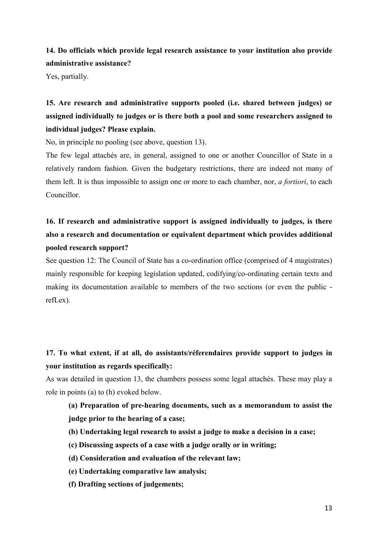## **14. Do officials which provide legal research assistance to your institution also provide administrative assistance?**

Yes, partially.

**15. Are research and administrative supports pooled (i.e. shared between judges) or assigned individually to judges or is there both a pool and some researchers assigned to individual judges? Please explain.**

No, in principle no pooling (see above, question 13).

The few legal attachés are, in general, assigned to one or another Councillor of State in a relatively random fashion. Given the budgetary restrictions, there are indeed not many of them left. It is thus impossible to assign one or more to each chamber, nor, *a fortiori*, to each Councillor.

# **16. If research and administrative support is assigned individually to judges, is there also a research and documentation or equivalent department which provides additional pooled research support?**

See question 12: The Council of State has a co-ordination office (comprised of 4 magistrates) mainly responsible for keeping legislation updated, codifying/co-ordinating certain texts and making its documentation available to members of the two sections (or even the public refLex).

### **17. To what extent, if at all, do assistants/réferendaires provide support to judges in your institution as regards specifically:**

As was detailed in question 13, the chambers possess some legal attachés. These may play a role in points (a) to (h) evoked below.

## **(a) Preparation of pre-hearing documents, such as a memorandum to assist the judge prior to the hearing of a case;**

- **(b) Undertaking legal research to assist a judge to make a decision in a case;**
- **(c) Discussing aspects of a case with a judge orally or in writing;**
- **(d) Consideration and evaluation of the relevant law;**
- **(e) Undertaking comparative law analysis;**
- **(f) Drafting sections of judgements;**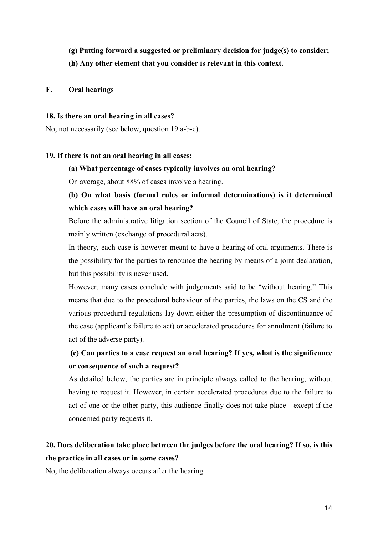- **(g) Putting forward a suggested or preliminary decision for judge(s) to consider;**
- **(h) Any other element that you consider is relevant in this context.**

#### **F. Oral hearings**

#### **18. Is there an oral hearing in all cases?**

No, not necessarily (see below, question 19 a-b-c).

#### **19. If there is not an oral hearing in all cases:**

#### **(a) What percentage of cases typically involves an oral hearing?**

On average, about 88% of cases involve a hearing.

### **(b) On what basis (formal rules or informal determinations) is it determined which cases will have an oral hearing?**

Before the administrative litigation section of the Council of State, the procedure is mainly written (exchange of procedural acts).

In theory, each case is however meant to have a hearing of oral arguments. There is the possibility for the parties to renounce the hearing by means of a joint declaration, but this possibility is never used.

However, many cases conclude with judgements said to be "without hearing." This means that due to the procedural behaviour of the parties, the laws on the CS and the various procedural regulations lay down either the presumption of discontinuance of the case (applicant's failure to act) or accelerated procedures for annulment (failure to act of the adverse party).

## **(c) Can parties to a case request an oral hearing? If yes, what is the significance or consequence of such a request?**

As detailed below, the parties are in principle always called to the hearing, without having to request it. However, in certain accelerated procedures due to the failure to act of one or the other party, this audience finally does not take place - except if the concerned party requests it.

# **20. Does deliberation take place between the judges before the oral hearing? If so, is this the practice in all cases or in some cases?**

No, the deliberation always occurs after the hearing.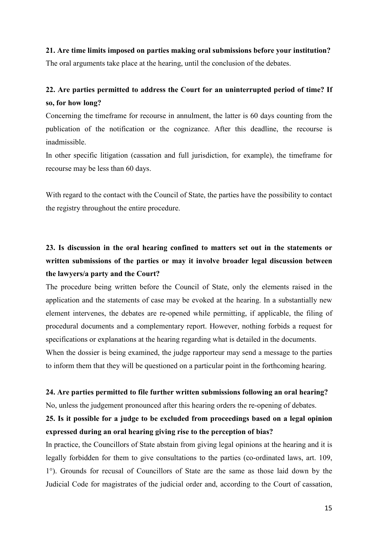#### **21. Are time limits imposed on parties making oral submissions before your institution?**

The oral arguments take place at the hearing, until the conclusion of the debates.

# **22. Are parties permitted to address the Court for an uninterrupted period of time? If so, for how long?**

Concerning the timeframe for recourse in annulment, the latter is 60 days counting from the publication of the notification or the cognizance. After this deadline, the recourse is inadmissible.

In other specific litigation (cassation and full jurisdiction, for example), the timeframe for recourse may be less than 60 days.

With regard to the contact with the Council of State, the parties have the possibility to contact the registry throughout the entire procedure.

# **23. Is discussion in the oral hearing confined to matters set out in the statements or written submissions of the parties or may it involve broader legal discussion between the lawyers/a party and the Court?**

The procedure being written before the Council of State, only the elements raised in the application and the statements of case may be evoked at the hearing. In a substantially new element intervenes, the debates are re-opened while permitting, if applicable, the filing of procedural documents and a complementary report. However, nothing forbids a request for specifications or explanations at the hearing regarding what is detailed in the documents. When the dossier is being examined, the judge rapporteur may send a message to the parties to inform them that they will be questioned on a particular point in the forthcoming hearing.

#### **24. Are parties permitted to file further written submissions following an oral hearing?**

No, unless the judgement pronounced after this hearing orders the re-opening of debates.

### **25. Is it possible for a judge to be excluded from proceedings based on a legal opinion expressed during an oral hearing giving rise to the perception of bias?**

In practice, the Councillors of State abstain from giving legal opinions at the hearing and it is legally forbidden for them to give consultations to the parties (co-ordinated laws, art. 109, 1°). Grounds for recusal of Councillors of State are the same as those laid down by the Judicial Code for magistrates of the judicial order and, according to the Court of cassation,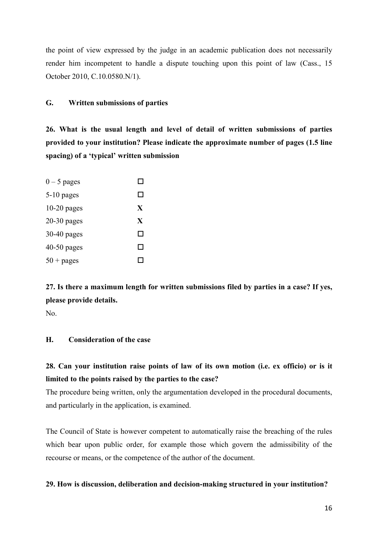the point of view expressed by the judge in an academic publication does not necessarily render him incompetent to handle a dispute touching upon this point of law (Cass., 15 October 2010, C.10.0580.N/1).

#### **G. Written submissions of parties**

**26. What is the usual length and level of detail of written submissions of parties provided to your institution? Please indicate the approximate number of pages (1.5 line spacing) of a 'typical' written submission**

| $0 - 5$ pages |    |
|---------------|----|
| $5-10$ pages  | ΙI |
| $10-20$ pages | X  |
| $20-30$ pages | X  |
| $30-40$ pages | ΙI |
| 40-50 pages   | ΙI |
| $50 + pages$  |    |

**27. Is there a maximum length for written submissions filed by parties in a case? If yes, please provide details.** 

No.

#### **H. Consideration of the case**

### **28. Can your institution raise points of law of its own motion (i.e. ex officio) or is it limited to the points raised by the parties to the case?**

The procedure being written, only the argumentation developed in the procedural documents, and particularly in the application, is examined.

The Council of State is however competent to automatically raise the breaching of the rules which bear upon public order, for example those which govern the admissibility of the recourse or means, or the competence of the author of the document.

#### **29. How is discussion, deliberation and decision-making structured in your institution?**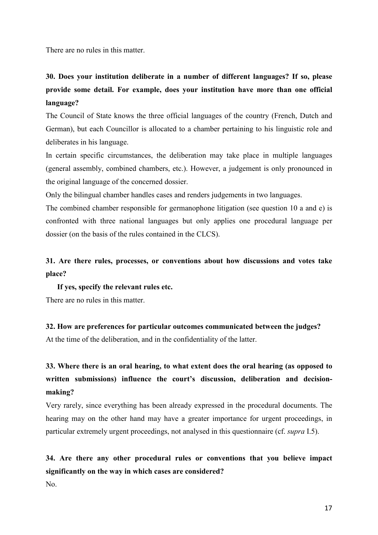There are no rules in this matter.

# **30. Does your institution deliberate in a number of different languages? If so, please provide some detail. For example, does your institution have more than one official language?**

The Council of State knows the three official languages of the country (French, Dutch and German), but each Councillor is allocated to a chamber pertaining to his linguistic role and deliberates in his language.

In certain specific circumstances, the deliberation may take place in multiple languages (general assembly, combined chambers, etc.). However, a judgement is only pronounced in the original language of the concerned dossier.

Only the bilingual chamber handles cases and renders judgements in two languages.

The combined chamber responsible for germanophone litigation (see question 10 a and e) is confronted with three national languages but only applies one procedural language per dossier (on the basis of the rules contained in the CLCS).

### **31. Are there rules, processes, or conventions about how discussions and votes take place?**

**If yes, specify the relevant rules etc.** There are no rules in this matter.

**32. How are preferences for particular outcomes communicated between the judges?** At the time of the deliberation, and in the confidentiality of the latter.

# **33. Where there is an oral hearing, to what extent does the oral hearing (as opposed to written submissions) influence the court's discussion, deliberation and decisionmaking?**

Very rarely, since everything has been already expressed in the procedural documents. The hearing may on the other hand may have a greater importance for urgent proceedings, in particular extremely urgent proceedings, not analysed in this questionnaire (cf. *supra* I.5).

# **34. Are there any other procedural rules or conventions that you believe impact significantly on the way in which cases are considered?**

No.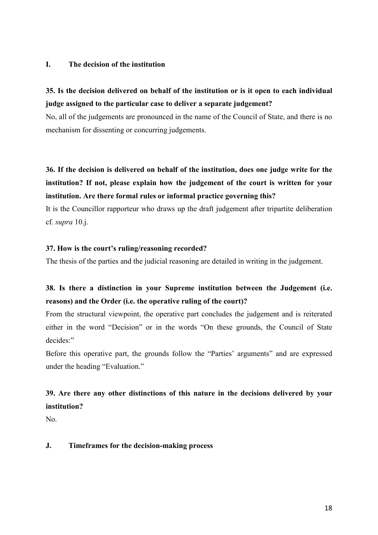#### **I. The decision of the institution**

## **35. Is the decision delivered on behalf of the institution or is it open to each individual judge assigned to the particular case to deliver a separate judgement?**

No, all of the judgements are pronounced in the name of the Council of State, and there is no mechanism for dissenting or concurring judgements.

**36. If the decision is delivered on behalf of the institution, does one judge write for the institution? If not, please explain how the judgement of the court is written for your institution. Are there formal rules or informal practice governing this?**

It is the Councillor rapporteur who draws up the draft judgement after tripartite deliberation cf. *supra* 10.j.

#### **37. How is the court's ruling/reasoning recorded?**

The thesis of the parties and the judicial reasoning are detailed in writing in the judgement.

### **38. Is there a distinction in your Supreme institution between the Judgement (i.e. reasons) and the Order (i.e. the operative ruling of the court)?**

From the structural viewpoint, the operative part concludes the judgement and is reiterated either in the word "Decision" or in the words "On these grounds, the Council of State decides:"

Before this operative part, the grounds follow the "Parties' arguments" and are expressed under the heading "Evaluation."

# **39. Are there any other distinctions of this nature in the decisions delivered by your institution?**

No.

#### **J. Timeframes for the decision-making process**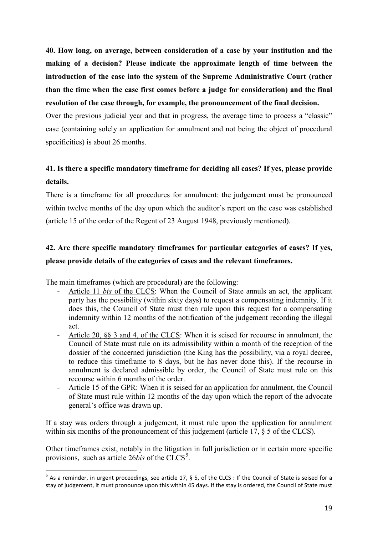**40. How long, on average, between consideration of a case by your institution and the making of a decision? Please indicate the approximate length of time between the introduction of the case into the system of the Supreme Administrative Court (rather than the time when the case first comes before a judge for consideration) and the final resolution of the case through, for example, the pronouncement of the final decision.** 

Over the previous judicial year and that in progress, the average time to process a "classic" case (containing solely an application for annulment and not being the object of procedural specificities) is about 26 months.

# **41. Is there a specific mandatory timeframe for deciding all cases? If yes, please provide details.**

There is a timeframe for all procedures for annulment: the judgement must be pronounced within twelve months of the day upon which the auditor's report on the case was established (article 15 of the order of the Regent of 23 August 1948, previously mentioned).

# **42. Are there specific mandatory timeframes for particular categories of cases? If yes, please provide details of the categories of cases and the relevant timeframes.**

The main timeframes (which are procedural) are the following:

- Article 11 *bis* of the CLCS: When the Council of State annuls an act, the applicant party has the possibility (within sixty days) to request a compensating indemnity. If it does this, the Council of State must then rule upon this request for a compensating indemnity within 12 months of the notification of the judgement recording the illegal act.
- Article 20,  $\S$ § 3 and 4, of the CLCS: When it is seised for recourse in annulment, the Council of State must rule on its admissibility within a month of the reception of the dossier of the concerned jurisdiction (the King has the possibility, via a royal decree, to reduce this timeframe to 8 days, but he has never done this). If the recourse in annulment is declared admissible by order, the Council of State must rule on this recourse within 6 months of the order.
- Article 15 of the GPR: When it is seised for an application for annulment, the Council of State must rule within 12 months of the day upon which the report of the advocate general's office was drawn up.

If a stay was orders through a judgement, it must rule upon the application for annulment within six months of the pronouncement of this judgement (article 17,  $\S$  5 of the CLCS).

Other timeframes exist, notably in the litigation in full jurisdiction or in certain more specific provisions, such as article  $26bis$  of the CLCS<sup>[5](#page-19-0)</sup>.

<span id="page-19-0"></span> $5$  As a reminder, in urgent proceedings, see article 17, § 5, of the CLCS : If the Council of State is seised for a stay of judgement, it must pronounce upon this within 45 days. If the stay is ordered, the Council of State must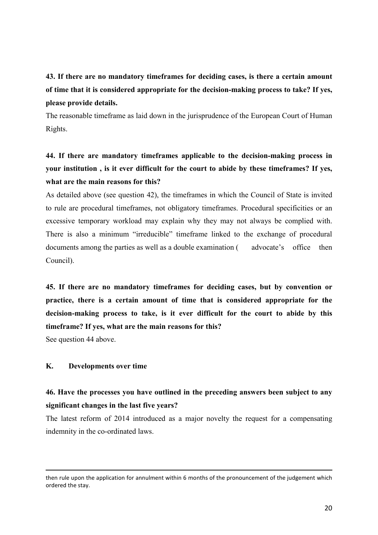# **43. If there are no mandatory timeframes for deciding cases, is there a certain amount of time that it is considered appropriate for the decision-making process to take? If yes, please provide details.**

The reasonable timeframe as laid down in the jurisprudence of the European Court of Human Rights.

# **44. If there are mandatory timeframes applicable to the decision-making process in your institution , is it ever difficult for the court to abide by these timeframes? If yes, what are the main reasons for this?**

As detailed above (see question 42), the timeframes in which the Council of State is invited to rule are procedural timeframes, not obligatory timeframes. Procedural specificities or an excessive temporary workload may explain why they may not always be complied with. There is also a minimum "irreducible" timeframe linked to the exchange of procedural documents among the parties as well as a double examination ( advocate's office then Council).

**45. If there are no mandatory timeframes for deciding cases, but by convention or practice, there is a certain amount of time that is considered appropriate for the decision-making process to take, is it ever difficult for the court to abide by this timeframe? If yes, what are the main reasons for this?** 

See question 44 above.

 $\overline{a}$ 

#### **K. Developments over time**

### **46. Have the processes you have outlined in the preceding answers been subject to any significant changes in the last five years?**

The latest reform of 2014 introduced as a major novelty the request for a compensating indemnity in the co-ordinated laws.

then rule upon the application for annulment within 6 months of the pronouncement of the judgement which ordered the stay.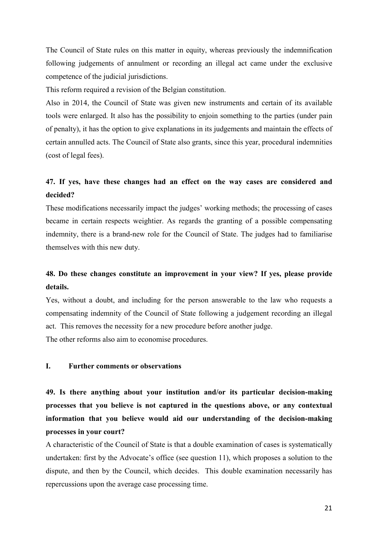The Council of State rules on this matter in equity, whereas previously the indemnification following judgements of annulment or recording an illegal act came under the exclusive competence of the judicial jurisdictions.

This reform required a revision of the Belgian constitution.

Also in 2014, the Council of State was given new instruments and certain of its available tools were enlarged. It also has the possibility to enjoin something to the parties (under pain of penalty), it has the option to give explanations in its judgements and maintain the effects of certain annulled acts. The Council of State also grants, since this year, procedural indemnities (cost of legal fees).

### **47. If yes, have these changes had an effect on the way cases are considered and decided?**

These modifications necessarily impact the judges' working methods; the processing of cases became in certain respects weightier. As regards the granting of a possible compensating indemnity, there is a brand-new role for the Council of State. The judges had to familiarise themselves with this new duty.

### **48. Do these changes constitute an improvement in your view? If yes, please provide details.**

Yes, without a doubt, and including for the person answerable to the law who requests a compensating indemnity of the Council of State following a judgement recording an illegal act. This removes the necessity for a new procedure before another judge.

The other reforms also aim to economise procedures.

#### **I. Further comments or observations**

**49. Is there anything about your institution and/or its particular decision-making processes that you believe is not captured in the questions above, or any contextual information that you believe would aid our understanding of the decision-making processes in your court?** 

A characteristic of the Council of State is that a double examination of cases is systematically undertaken: first by the Advocate's office (see question 11), which proposes a solution to the dispute, and then by the Council, which decides. This double examination necessarily has repercussions upon the average case processing time.